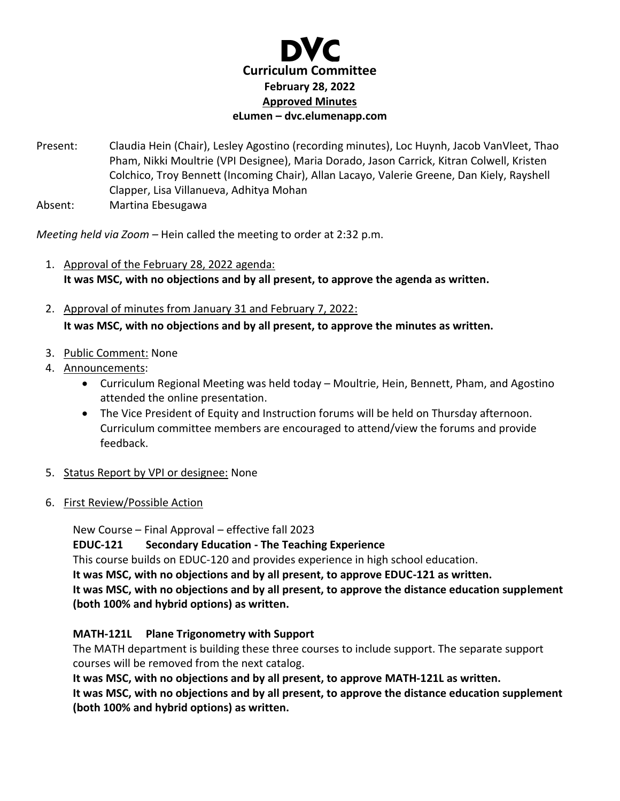

- Present: Claudia Hein (Chair), Lesley Agostino (recording minutes), Loc Huynh, Jacob VanVleet, Thao Pham, Nikki Moultrie (VPI Designee), Maria Dorado, Jason Carrick, Kitran Colwell, Kristen Colchico, Troy Bennett (Incoming Chair), Allan Lacayo, Valerie Greene, Dan Kiely, Rayshell Clapper, Lisa Villanueva, Adhitya Mohan
- Absent: Martina Ebesugawa

*Meeting held via Zoom –* Hein called the meeting to order at 2:32 p.m.

- 1. Approval of the February 28, 2022 agenda: **It was MSC, with no objections and by all present, to approve the agenda as written.**
- 2. Approval of minutes from January 31 and February 7, 2022: **It was MSC, with no objections and by all present, to approve the minutes as written.**
- 3. Public Comment: None
- 4. Announcements:
	- Curriculum Regional Meeting was held today Moultrie, Hein, Bennett, Pham, and Agostino attended the online presentation.
	- The Vice President of Equity and Instruction forums will be held on Thursday afternoon. Curriculum committee members are encouraged to attend/view the forums and provide feedback.
- 5. Status Report by VPI or designee: None
- 6. First Review/Possible Action

New Course – Final Approval – effective fall 2023 **EDUC-121 Secondary Education - The Teaching Experience** This course builds on EDUC-120 and provides experience in high school education. **It was MSC, with no objections and by all present, to approve EDUC-121 as written. It was MSC, with no objections and by all present, to approve the distance education supplement (both 100% and hybrid options) as written.** 

#### **MATH-121L Plane Trigonometry with Support**

The MATH department is building these three courses to include support. The separate support courses will be removed from the next catalog.

**It was MSC, with no objections and by all present, to approve MATH-121L as written.** 

**It was MSC, with no objections and by all present, to approve the distance education supplement (both 100% and hybrid options) as written.**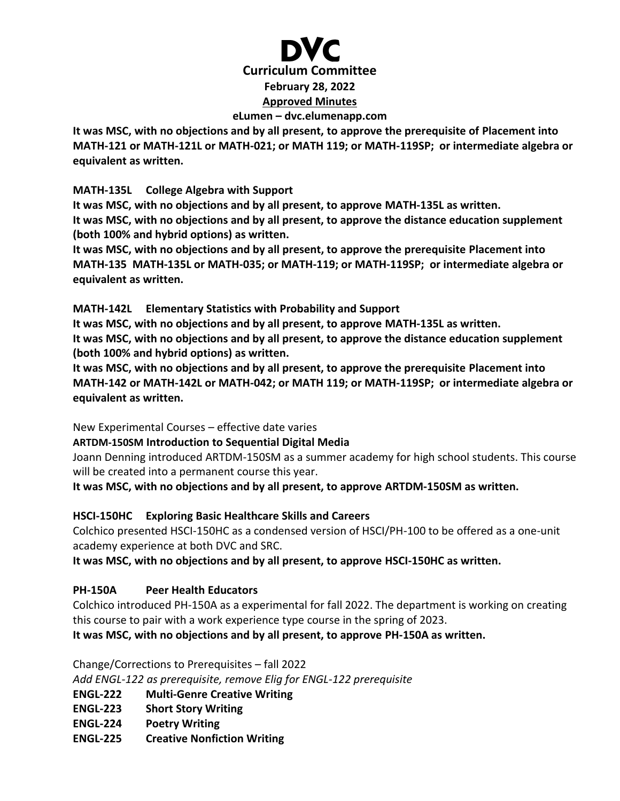**Curriculum Committee February 28, 2022 Approved Minutes eLumen – dvc.elumenapp.com**

**It was MSC, with no objections and by all present, to approve the prerequisite of Placement into MATH-121 or MATH-121L or MATH-021; or MATH 119; or MATH-119SP; or intermediate algebra or equivalent as written.**

**MATH-135L College Algebra with Support**

**It was MSC, with no objections and by all present, to approve MATH-135L as written. It was MSC, with no objections and by all present, to approve the distance education supplement (both 100% and hybrid options) as written.** 

**It was MSC, with no objections and by all present, to approve the prerequisite Placement into MATH-135 MATH-135L or MATH-035; or MATH-119; or MATH-119SP; or intermediate algebra or equivalent as written.** 

### **MATH-142L Elementary Statistics with Probability and Support**

**It was MSC, with no objections and by all present, to approve MATH-135L as written. It was MSC, with no objections and by all present, to approve the distance education supplement (both 100% and hybrid options) as written.** 

**It was MSC, with no objections and by all present, to approve the prerequisite Placement into MATH-142 or MATH-142L or MATH-042; or MATH 119; or MATH-119SP; or intermediate algebra or equivalent as written.**

New Experimental Courses – effective date varies

# **ARTDM-150SM Introduction to Sequential Digital Media**

Joann Denning introduced ARTDM-150SM as a summer academy for high school students. This course will be created into a permanent course this year.

**It was MSC, with no objections and by all present, to approve ARTDM-150SM as written.** 

# **HSCI-150HC Exploring Basic Healthcare Skills and Careers**

Colchico presented HSCI-150HC as a condensed version of HSCI/PH-100 to be offered as a one-unit academy experience at both DVC and SRC.

**It was MSC, with no objections and by all present, to approve HSCI-150HC as written.** 

# **PH-150A Peer Health Educators**

Colchico introduced PH-150A as a experimental for fall 2022. The department is working on creating this course to pair with a work experience type course in the spring of 2023.

**It was MSC, with no objections and by all present, to approve PH-150A as written.** 

Change/Corrections to Prerequisites – fall 2022

*Add ENGL-122 as prerequisite, remove Elig for ENGL-122 prerequisite*

- **ENGL-222 Multi-Genre Creative Writing**
- **ENGL-223 Short Story Writing**
- **ENGL-224 Poetry Writing**
- **ENGL-225 Creative Nonfiction Writing**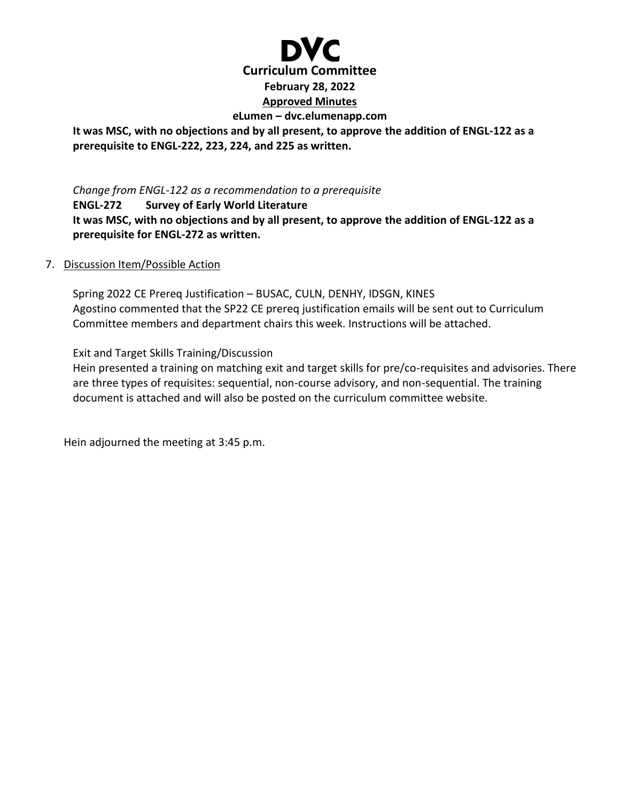

*Change from ENGL-122 as a recommendation to a prerequisite* **ENGL-272 Survey of Early World Literature It was MSC, with no objections and by all present, to approve the addition of ENGL-122 as a prerequisite for ENGL-272 as written.**

7. Discussion Item/Possible Action

Spring 2022 CE Prereq Justification – BUSAC, CULN, DENHY, IDSGN, KINES Agostino commented that the SP22 CE prereq justification emails will be sent out to Curriculum Committee members and department chairs this week. Instructions will be attached.

Exit and Target Skills Training/Discussion

Hein presented a training on matching exit and target skills for pre/co-requisites and advisories. There are three types of requisites: sequential, non-course advisory, and non-sequential. The training document is attached and will also be posted on the curriculum committee website.

Hein adjourned the meeting at 3:45 p.m.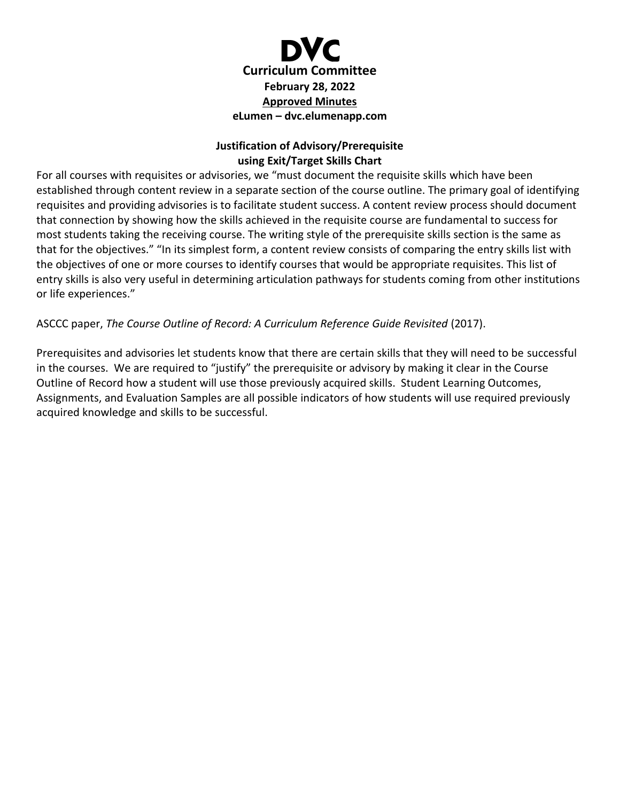

#### **Justification of Advisory/Prerequisite using Exit/Target Skills Chart**

For all courses with requisites or advisories, we "must document the requisite skills which have been established through content review in a separate section of the course outline. The primary goal of identifying requisites and providing advisories is to facilitate student success. A content review process should document that connection by showing how the skills achieved in the requisite course are fundamental to success for most students taking the receiving course. The writing style of the prerequisite skills section is the same as that for the objectives." "In its simplest form, a content review consists of comparing the entry skills list with the objectives of one or more courses to identify courses that would be appropriate requisites. This list of entry skills is also very useful in determining articulation pathways for students coming from other institutions or life experiences."

#### ASCCC paper, *The Course Outline of Record: A Curriculum Reference Guide Revisited* (2017).

Prerequisites and advisories let students know that there are certain skills that they will need to be successful in the courses. We are required to "justify" the prerequisite or advisory by making it clear in the Course Outline of Record how a student will use those previously acquired skills. Student Learning Outcomes, Assignments, and Evaluation Samples are all possible indicators of how students will use required previously acquired knowledge and skills to be successful.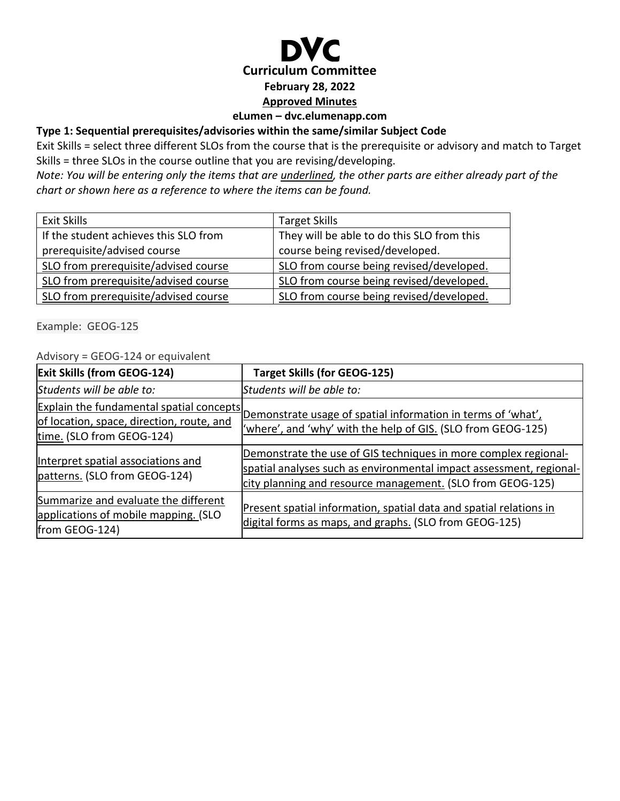**Curriculum Committee February 28, 2022 Approved Minutes eLumen – dvc.elumenapp.com**

# **Type 1: Sequential prerequisites/advisories within the same/similar Subject Code**

Exit Skills = select three different SLOs from the course that is the prerequisite or advisory and match to Target Skills = three SLOs in the course outline that you are revising/developing.

*Note: You will be entering only the items that are underlined, the other parts are either already part of the chart or shown here as a reference to where the items can be found.*

| Exit Skills                           | <b>Target Skills</b>                       |
|---------------------------------------|--------------------------------------------|
| If the student achieves this SLO from | They will be able to do this SLO from this |
| prerequisite/advised course           | course being revised/developed.            |
| SLO from prerequisite/advised course  | SLO from course being revised/developed.   |
| SLO from prerequisite/advised course  | SLO from course being revised/developed.   |
| SLO from prerequisite/advised course  | SLO from course being revised/developed.   |

Example: GEOG-125

Advisory = GEOG-124 or equivalent

| <b>Exit Skills (from GEOG-124)</b>                                                                                 | <b>Target Skills (for GEOG-125)</b>                                                                                                                                                                  |
|--------------------------------------------------------------------------------------------------------------------|------------------------------------------------------------------------------------------------------------------------------------------------------------------------------------------------------|
| Students will be able to:                                                                                          | Students will be able to:                                                                                                                                                                            |
| Explain the fundamental spatial concepts<br>of location, space, direction, route, and<br>time. (SLO from GEOG-124) | Demonstrate usage of spatial information in terms of 'what',<br>'where', and 'why' with the help of GIS. (SLO from GEOG-125)                                                                         |
| Interpret spatial associations and<br>patterns. (SLO from GEOG-124)                                                | Demonstrate the use of GIS techniques in more complex regional-<br>spatial analyses such as environmental impact assessment, regional-<br>city planning and resource management. (SLO from GEOG-125) |
| Summarize and evaluate the different<br>applications of mobile mapping. (SLO<br>from GEOG-124)                     | Present spatial information, spatial data and spatial relations in<br>digital forms as maps, and graphs. (SLO from GEOG-125)                                                                         |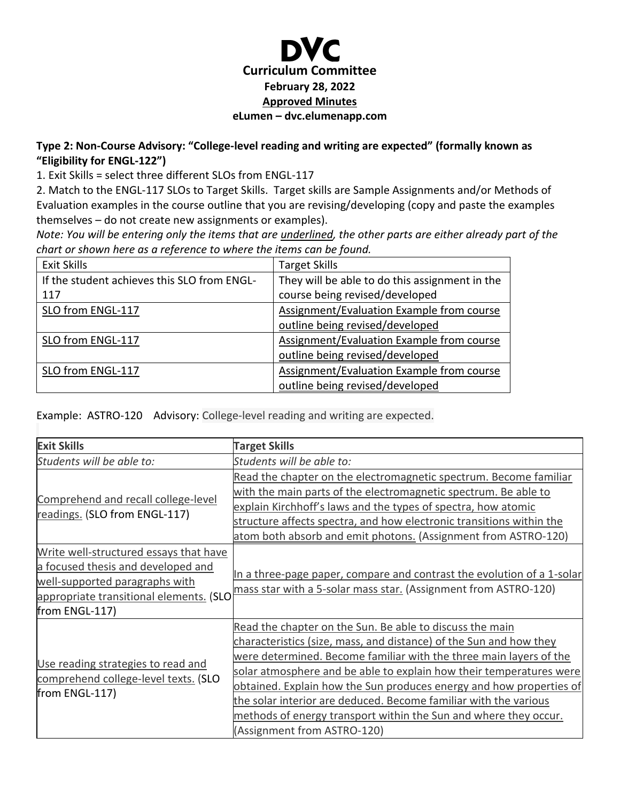# **Curriculum Committee February 28, 2022 Approved Minutes eLumen – dvc.elumenapp.com**

#### **Type 2: Non-Course Advisory: "College-level reading and writing are expected" (formally known as "Eligibility for ENGL-122")**

1. Exit Skills = select three different SLOs from ENGL-117

2. Match to the ENGL-117 SLOs to Target Skills. Target skills are Sample Assignments and/or Methods of Evaluation examples in the course outline that you are revising/developing (copy and paste the examples themselves – do not create new assignments or examples).

*Note: You will be entering only the items that are underlined, the other parts are either already part of the chart or shown here as a reference to where the items can be found.*

| Exit Skills                                 | <b>Target Skills</b>                             |
|---------------------------------------------|--------------------------------------------------|
| If the student achieves this SLO from ENGL- | They will be able to do this assignment in the   |
| 117                                         | course being revised/developed                   |
| SLO from ENGL-117                           | Assignment/Evaluation Example from course        |
|                                             | outline being revised/developed                  |
| SLO from ENGL-117                           | <b>Assignment/Evaluation Example from course</b> |
|                                             | outline being revised/developed                  |
| SLO from ENGL-117                           | Assignment/Evaluation Example from course        |
|                                             | outline being revised/developed                  |

Example: ASTRO-120 Advisory: College-level reading and writing are expected.

| <b>Exit Skills</b>                                                                                                                                                          | <b>Target Skills</b>                                                                                                                                                                                                                                                                                                                                                                                                                                                                                                      |
|-----------------------------------------------------------------------------------------------------------------------------------------------------------------------------|---------------------------------------------------------------------------------------------------------------------------------------------------------------------------------------------------------------------------------------------------------------------------------------------------------------------------------------------------------------------------------------------------------------------------------------------------------------------------------------------------------------------------|
| Students will be able to:                                                                                                                                                   | Students will be able to:                                                                                                                                                                                                                                                                                                                                                                                                                                                                                                 |
| Comprehend and recall college-level<br>readings. (SLO from ENGL-117)                                                                                                        | Read the chapter on the electromagnetic spectrum. Become familiar                                                                                                                                                                                                                                                                                                                                                                                                                                                         |
|                                                                                                                                                                             | with the main parts of the electromagnetic spectrum. Be able to                                                                                                                                                                                                                                                                                                                                                                                                                                                           |
|                                                                                                                                                                             | explain Kirchhoff's laws and the types of spectra, how atomic                                                                                                                                                                                                                                                                                                                                                                                                                                                             |
|                                                                                                                                                                             | structure affects spectra, and how electronic transitions within the                                                                                                                                                                                                                                                                                                                                                                                                                                                      |
|                                                                                                                                                                             | atom both absorb and emit photons. (Assignment from ASTRO-120)                                                                                                                                                                                                                                                                                                                                                                                                                                                            |
| Write well-structured essays that have<br>a focused thesis and developed and<br>well-supported paragraphs with<br>appropriate transitional elements. (SLO<br>from ENGL-117) | In a three-page paper, compare and contrast the evolution of a 1-solar<br>mass star with a 5-solar mass star. (Assignment from ASTRO-120)                                                                                                                                                                                                                                                                                                                                                                                 |
| Use reading strategies to read and<br>comprehend college-level texts. (SLO<br>from ENGL-117)                                                                                | Read the chapter on the Sun. Be able to discuss the main<br>characteristics (size, mass, and distance) of the Sun and how they<br>were determined. Become familiar with the three main layers of the<br>solar atmosphere and be able to explain how their temperatures were<br>obtained. Explain how the Sun produces energy and how properties of<br>the solar interior are deduced. Become familiar with the various<br>methods of energy transport within the Sun and where they occur.<br>(Assignment from ASTRO-120) |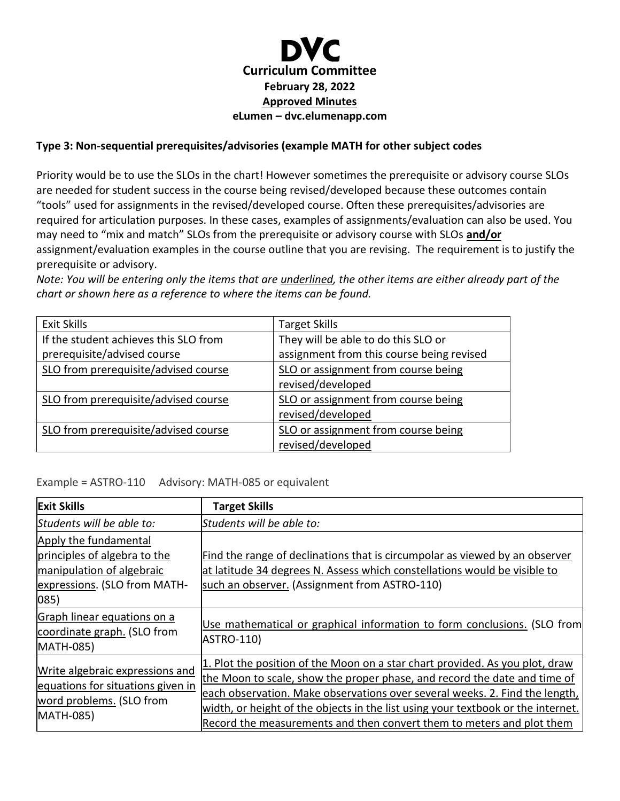

#### **Type 3: Non-sequential prerequisites/advisories (example MATH for other subject codes**

Priority would be to use the SLOs in the chart! However sometimes the prerequisite or advisory course SLOs are needed for student success in the course being revised/developed because these outcomes contain "tools" used for assignments in the revised/developed course. Often these prerequisites/advisories are required for articulation purposes. In these cases, examples of assignments/evaluation can also be used. You may need to "mix and match" SLOs from the prerequisite or advisory course with SLOs **and/or** assignment/evaluation examples in the course outline that you are revising. The requirement is to justify the prerequisite or advisory.

*Note: You will be entering only the items that are underlined, the other items are either already part of the chart or shown here as a reference to where the items can be found.*

| <b>Exit Skills</b>                    | <b>Target Skills</b>                      |
|---------------------------------------|-------------------------------------------|
| If the student achieves this SLO from | They will be able to do this SLO or       |
| prerequisite/advised course           | assignment from this course being revised |
| SLO from prerequisite/advised course  | SLO or assignment from course being       |
|                                       | revised/developed                         |
| SLO from prerequisite/advised course  | SLO or assignment from course being       |
|                                       | revised/developed                         |
| SLO from prerequisite/advised course  | SLO or assignment from course being       |
|                                       | revised/developed                         |

Example = ASTRO-110 Advisory: MATH-085 or equivalent

| <b>Exit Skills</b>                                                                                                                  | <b>Target Skills</b>                                                                                                                                                                                                                                                                                                                                                                                  |
|-------------------------------------------------------------------------------------------------------------------------------------|-------------------------------------------------------------------------------------------------------------------------------------------------------------------------------------------------------------------------------------------------------------------------------------------------------------------------------------------------------------------------------------------------------|
| Students will be able to:                                                                                                           | Students will be able to:                                                                                                                                                                                                                                                                                                                                                                             |
| Apply the fundamental<br>principles of algebra to the<br>manipulation of algebraic<br>expressions. (SLO from MATH-<br>$ 085\rangle$ | Find the range of declinations that is circumpolar as viewed by an observer<br>at latitude 34 degrees N. Assess which constellations would be visible to<br>such an observer. (Assignment from ASTRO-110)                                                                                                                                                                                             |
| Graph linear equations on a<br>coordinate graph. (SLO from<br><b>MATH-085)</b>                                                      | Use mathematical or graphical information to form conclusions. (SLO from<br>ASTRO-110)                                                                                                                                                                                                                                                                                                                |
| Write algebraic expressions and<br>equations for situations given in<br>word problems. (SLO from<br><b>MATH-085)</b>                | 1. Plot the position of the Moon on a star chart provided. As you plot, draw<br>the Moon to scale, show the proper phase, and record the date and time of<br>each observation. Make observations over several weeks. 2. Find the length,<br>width, or height of the objects in the list using your textbook or the internet.<br>Record the measurements and then convert them to meters and plot them |